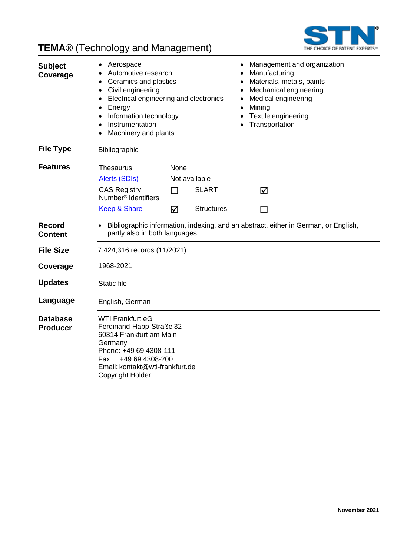

## **TEMA**® (Technology and Management)

| <b>Subject</b><br>Coverage         | Aerospace<br>Automotive research<br>Ceramics and plastics<br>$\bullet$<br>Civil engineering<br>$\bullet$<br>Electrical engineering and electronics<br>$\bullet$<br>Energy<br>$\bullet$<br>Information technology<br>$\bullet$<br>Instrumentation<br>Machinery and plants |                                  | Management and organization<br>Manufacturing<br>Materials, metals, paints<br>Mechanical engineering<br>Medical engineering<br>Mining<br>Textile engineering<br>Transportation |   |                                                                                     |
|------------------------------------|--------------------------------------------------------------------------------------------------------------------------------------------------------------------------------------------------------------------------------------------------------------------------|----------------------------------|-------------------------------------------------------------------------------------------------------------------------------------------------------------------------------|---|-------------------------------------------------------------------------------------|
| <b>File Type</b>                   | Bibliographic                                                                                                                                                                                                                                                            |                                  |                                                                                                                                                                               |   |                                                                                     |
| <b>Features</b>                    | Thesaurus<br><b>Alerts (SDIs)</b><br><b>CAS Registry</b>                                                                                                                                                                                                                 | None<br>$\overline{\phantom{a}}$ | Not available<br><b>SLART</b>                                                                                                                                                 | ⊠ |                                                                                     |
|                                    | Number <sup>®</sup> Identifiers<br><b>Keep &amp; Share</b>                                                                                                                                                                                                               | ☑                                | <b>Structures</b>                                                                                                                                                             |   |                                                                                     |
| <b>Record</b><br><b>Content</b>    | partly also in both languages.                                                                                                                                                                                                                                           |                                  |                                                                                                                                                                               |   | Bibliographic information, indexing, and an abstract, either in German, or English, |
| <b>File Size</b>                   | 7.424,316 records (11/2021)                                                                                                                                                                                                                                              |                                  |                                                                                                                                                                               |   |                                                                                     |
| Coverage                           | 1968-2021                                                                                                                                                                                                                                                                |                                  |                                                                                                                                                                               |   |                                                                                     |
| <b>Updates</b>                     | Static file                                                                                                                                                                                                                                                              |                                  |                                                                                                                                                                               |   |                                                                                     |
| Language                           | English, German                                                                                                                                                                                                                                                          |                                  |                                                                                                                                                                               |   |                                                                                     |
| <b>Database</b><br><b>Producer</b> | <b>WTI Frankfurt eG</b><br>Ferdinand-Happ-Straße 32<br>60314 Frankfurt am Main<br>Germany<br>Phone: +49 69 4308-111<br>+49 69 4308-200<br>Fax:<br>Email: kontakt@wti-frankfurt.de<br>Copyright Holder                                                                    |                                  |                                                                                                                                                                               |   |                                                                                     |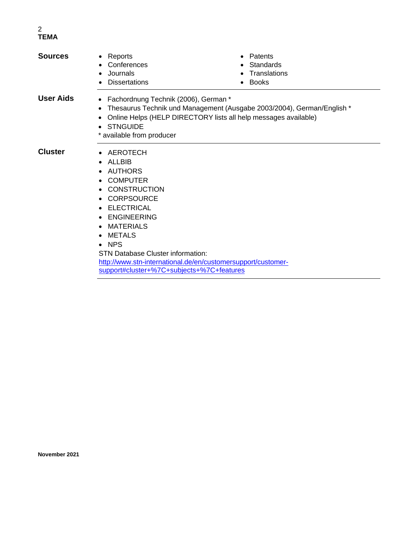### 2 **TEMA**

| <b>Sources</b> | $\bullet$ Reports<br>Conferences<br>Journals<br><b>Dissertations</b>                                                                                                                                                                                    | Patents<br>Standards<br>Translations<br><b>Books</b>                                                                                      |  |  |  |
|----------------|---------------------------------------------------------------------------------------------------------------------------------------------------------------------------------------------------------------------------------------------------------|-------------------------------------------------------------------------------------------------------------------------------------------|--|--|--|
| User Aids      | Fachordnung Technik (2006), German *<br>$\bullet$<br>$\bullet$<br>STNGUIDE<br>* available from producer                                                                                                                                                 | Thesaurus Technik und Management (Ausgabe 2003/2004), German/English *<br>Online Helps (HELP DIRECTORY lists all help messages available) |  |  |  |
| <b>Cluster</b> | • AEROTECH<br>ALLBIB<br>$\bullet$<br>AUTHORS<br><b>COMPUTER</b><br><b>CONSTRUCTION</b><br>• CORPSOURCE<br>• ELECTRICAL<br><b>ENGINEERING</b><br>$\bullet$<br>MATERIALS<br>$\bullet$<br>METALS<br><b>NPS</b><br><b>STN Database Cluster information:</b> |                                                                                                                                           |  |  |  |
|                | http://www.stn-international.de/en/customersupport/customer-<br>support#cluster+%7C+subjects+%7C+features                                                                                                                                               |                                                                                                                                           |  |  |  |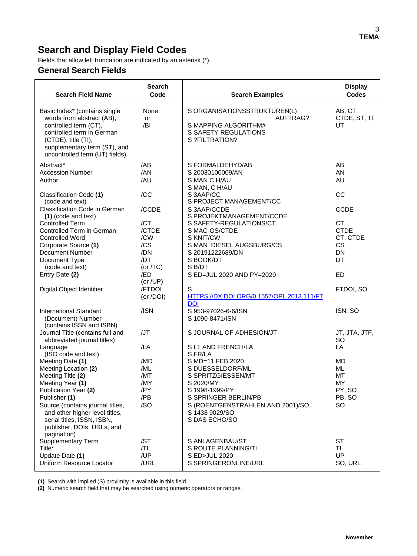## **Search and Display Field Codes**

Fields that allow left truncation are indicated by an asterisk (\*).

### **General Search Fields**

| <b>Search Field Name</b>                                                                                                                                                                                                                                                                           | <b>Search</b><br>Code                             | <b>Search Examples</b>                                                                                                                                                                              | <b>Display</b><br><b>Codes</b>                                               |
|----------------------------------------------------------------------------------------------------------------------------------------------------------------------------------------------------------------------------------------------------------------------------------------------------|---------------------------------------------------|-----------------------------------------------------------------------------------------------------------------------------------------------------------------------------------------------------|------------------------------------------------------------------------------|
| Basic Index* (contains single<br>words from abstract (AB),<br>controlled term (CT),<br>controlled term in German<br>(CTDE), title (TI),<br>supplementary term (ST), and<br>uncontrolled term (UT) fields)                                                                                          | None<br>or<br>/BI                                 | S ORGANISATIONSSTRUKTUREN(L)<br>AUFTRAG?<br>S MAPPING ALGORITHM#<br><b>S SAFETY REGULATIONS</b><br>S ?FILTRATION?                                                                                   | AB, CT,<br>CTDE, ST, TI,<br>UT                                               |
| Abstract*<br><b>Accession Number</b><br>Author                                                                                                                                                                                                                                                     | /AB<br>/AN<br>/AU                                 | S FORMALDEHYD/AB<br>S 20030100009/AN<br>S MAN C H/AU                                                                                                                                                | AB<br>AN<br><b>AU</b>                                                        |
| Classification Code (1)<br>(code and text)                                                                                                                                                                                                                                                         | /CC                                               | S MAN, C H/AU<br>S 3AAP/CC<br>S PROJECT MANAGEMENT/CC                                                                                                                                               | CC                                                                           |
| Classification Code in German<br>(1) (code and text)<br><b>Controlled Term</b><br>Controlled Term in German<br><b>Controlled Word</b><br>Corporate Source (1)<br>Document Number<br>Document Type                                                                                                  | /CCDE<br>/CT<br>/CTDE<br>/CW<br>/CS<br>/DN<br>/DT | S 3AAP/CCDE<br>S PROJEKTMANAGEMENT/CCDE<br>S SAFETY-REGULATIONS/CT<br>S MAC-OS/CTDE<br>S KNIT/CW<br>S MAN DIESEL AUGSBURG/CS<br>S 20191222689/DN<br>S BOOK/DT                                       | <b>CCDE</b><br><b>CT</b><br><b>CTDE</b><br>CT, CTDE<br>CS<br><b>DN</b><br>DT |
| (code and text)<br>Entry Date (2)                                                                                                                                                                                                                                                                  | (or $/TC$ )<br>/ED<br>(or /UP)                    | S B/DT<br>S ED=JUL 2020 AND PY=2020                                                                                                                                                                 | <b>ED</b>                                                                    |
| Digital Object Identifier                                                                                                                                                                                                                                                                          | /FTDOI<br>(or /DOI)                               | S<br>HTTPS://DX.DOI.ORG/0.1557/OPL.2013.111/FT<br><b>DOI</b>                                                                                                                                        | FTDOI, SO                                                                    |
| <b>International Standard</b><br>(Document) Number<br>(contains ISSN and ISBN)                                                                                                                                                                                                                     | /ISN                                              | S 953-97026-6-6/ISN<br>S 1090-8471/ISN                                                                                                                                                              | ISN, SO                                                                      |
| Journal Title (contains full and<br>abbreviated journal titles)<br>Language                                                                                                                                                                                                                        | /JT<br>/LA                                        | S JOURNAL OF ADHESION/JT<br>S L1 AND FRENCH/LA                                                                                                                                                      | JT, JTA, JTF,<br><b>SO</b><br>LA                                             |
| (ISO code and text)<br>Meeting Date (1)<br>Meeting Location (2)<br>Meeting Title (2)<br>Meeting Year (1)<br>Publication Year (2)<br>Publisher (1)<br>Source (contains journal titles,<br>and other higher level titles,<br>serial titles, ISSN, ISBN,<br>publisher, DOIs, URLs, and<br>pagination) | /MD<br>/ML<br>/MT<br>/MY<br>/PY<br>/PB<br>/SO     | S FR/LA<br>S MD=11 FEB 2020<br>S DUESSELDORF/ML<br>S SPRITZGIESSEN/MT<br>S 2020/MY<br>S 1998-1999/PY<br>S SPRINGER BERLIN/PB<br>S (ROENTGENSTRAHLEN AND 2001)/SO<br>S 1438 9029/SO<br>S DAS ECHO/SO | <b>MD</b><br><b>ML</b><br><b>MT</b><br>MY<br>PY, SO<br>PB, SO<br><b>SO</b>   |
| <b>Supplementary Term</b><br>Title*<br>Update Date (1)<br>Uniform Resource Locator                                                                                                                                                                                                                 | /ST<br> T <br>/UP<br>/URL                         | S ANLAGENBAU/ST<br>S ROUTE PLANNING/TI<br>S ED>JUL 2020<br>S SPRINGERONLINE/URL                                                                                                                     | <b>ST</b><br>TI.<br>UP<br>SO, URL                                            |

**(1)** Search with implied (S) proximity is available in this field.

**(2)** Numeric search field that may be searched using numeric operators or ranges.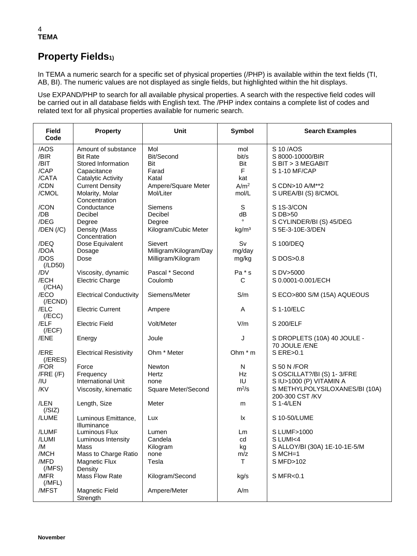### 4 **TEMA**

## **Property Fields1)**

In TEMA a numeric search for a specific set of physical properties (/PHP) is available within the text fields (TI, AB, BI). The numeric values are not displayed as single fields, but highlighted within the hit displays.

Use EXPAND/PHP to search for all available physical properties. A search with the respective field codes will be carried out in all database fields with English text. The /PHP index contains a complete list of codes and related text for all physical properties available for numeric search.

| <b>Field</b><br>Code                          | <b>Property</b>                                                                                        | <b>Unit</b>                                          | <b>Symbol</b>                         | <b>Search Examples</b>                                                                                                     |
|-----------------------------------------------|--------------------------------------------------------------------------------------------------------|------------------------------------------------------|---------------------------------------|----------------------------------------------------------------------------------------------------------------------------|
| /AOS<br>/BIR<br>/BIT<br>/CAP                  | Amount of substance<br><b>Bit Rate</b><br>Stored Information<br>Capacitance                            | Mol<br>Bit/Second<br>Bit<br>Farad                    | mol<br>bit/s<br>Bit<br>F              | S 10 / AOS<br>S 8000-10000/BIR<br>S BIT > 3 MEGABIT<br>S 1-10 MF/CAP                                                       |
| /CATA<br>/CDN<br>/CMOL                        | <b>Catalytic Activity</b><br><b>Current Density</b><br>Molarity, Molar<br>Concentration                | Katal<br>Ampere/Square Meter<br>Mol/Liter            | kat<br>A/m <sup>2</sup><br>mol/L      | S CDN>10 A/M**2<br>S UREA/BI (S) 8/CMOL                                                                                    |
| /CON<br>/DB<br>/DEG<br>$/$ DEN $/$ $/$ C $)$  | Conductance<br>Decibel<br>Degree<br>Density (Mass                                                      | Siemens<br>Decibel<br>Degree<br>Kilogram/Cubic Meter | S<br>dB<br>kg/m <sup>3</sup>          | S 1S-3/CON<br>S DB>50<br>S CYLINDER/BI (S) 45/DEG<br>S 5E-3-10E-3/DEN                                                      |
| /DEQ<br>/DOA                                  | Concentration<br>Dose Equivalent<br>Dosage                                                             | Sievert<br>Milligram/Kilogram/Day                    | Sv<br>mg/day                          | S 100/DEQ                                                                                                                  |
| /DOS<br>(ILD50)<br>/DV<br>/ECH                | Dose<br>Viscosity, dynamic<br><b>Electric Charge</b>                                                   | Milligram/Kilogram<br>Pascal * Second<br>Coulomb     | mg/kg<br>Pa * s<br>C                  | S DOS>0.8<br>S DV>5000<br>S 0.0001-0.001/ECH                                                                               |
| (/CHA)<br>/ECO<br>$($ /ECND $)$               | <b>Electrical Conductivity</b>                                                                         | Siemens/Meter                                        | S/m                                   | S ECO>800 S/M (15A) AQUEOUS                                                                                                |
| /ELC<br>(/ECC)                                | <b>Electric Current</b>                                                                                | Ampere                                               | A                                     | S 1-10/ELC                                                                                                                 |
| /ELF<br>(/ECF)                                | <b>Electric Field</b>                                                                                  | Volt/Meter                                           | V/m                                   | S 200/ELF                                                                                                                  |
| /ENE                                          | Energy                                                                                                 | Joule                                                | J                                     | S DROPLETS (10A) 40 JOULE -<br>70 JOULE /ENE                                                                               |
| /ERE<br>$($ <i>(FRES)</i>                     | <b>Electrical Resistivity</b>                                                                          | Ohm * Meter                                          | Ohm * m                               | S ERE>0.1                                                                                                                  |
| /FOR<br>$/$ FRE $($ /F $)$<br>$/$ IU<br>/KV   | Force<br>Frequency<br><b>International Unit</b><br>Viscosity, kinematic                                | Newton<br>Hertz<br>none<br>Square Meter/Second       | N<br>Hz<br>IU<br>$m^2/s$              | S 50 N / FOR<br>S OSCILLAT?/BI (S) 1-3/FRE<br>S IU>1000 (P) VITAMIN A<br>S METHYLPOLYSILOXANES/BI (10A)<br>200-300 CST /KV |
| /LEN<br>(/SIZ)                                | Length, Size                                                                                           | Meter                                                | m                                     | S 1-4/LEN                                                                                                                  |
| /LUME                                         | Luminous Emittance,<br>Illuminance                                                                     | Lux                                                  | <b>Ix</b>                             | S 10-50/LUME                                                                                                               |
| /LUMF<br>/LUMI<br>/M<br>/MCH<br>/MFD<br>(MFS) | Luminous Flux<br>Luminous Intensity<br>Mass<br>Mass to Charge Ratio<br><b>Magnetic Flux</b><br>Density | Lumen<br>Candela<br>Kilogram<br>none<br>Tesla        | Lm<br>cd<br>kg<br>m/z<br>$\mathsf{T}$ | S LUMF>1000<br>S LUMI<4<br>S ALLOY/BI (30A) 1E-10-1E-5/M<br>$S MCH=1$<br>S MFD>102                                         |
| /MFR<br>(MFL)                                 | Mass Flow Rate                                                                                         | Kilogram/Second                                      | kg/s                                  | S MFR<0.1                                                                                                                  |
| /MFST                                         | Magnetic Field<br>Strength                                                                             | Ampere/Meter                                         | A/m                                   |                                                                                                                            |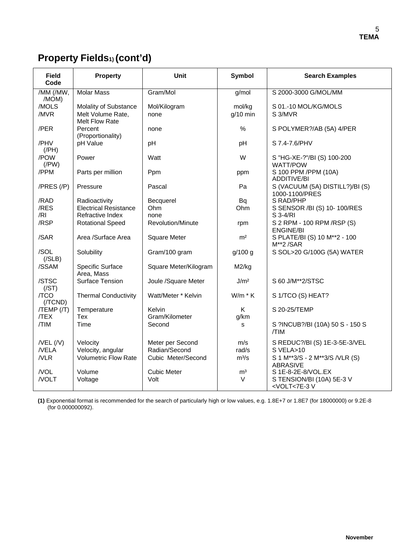# **Property Fields1) (cont'd)**

| <b>Field</b><br>Code      | <b>Property</b>                            | Unit                     | Symbol           | <b>Search Examples</b>                                           |
|---------------------------|--------------------------------------------|--------------------------|------------------|------------------------------------------------------------------|
| /MM (/MW,<br>/MOM)        | <b>Molar Mass</b>                          | Gram/Mol                 | g/mol            | S 2000-3000 G/MOL/MM                                             |
| /MOLS                     | Molality of Substance                      | Mol/Kilogram             | mol/kg           | S 01.-10 MOL/KG/MOLS                                             |
| /MVR                      | Melt Volume Rate,<br><b>Melt Flow Rate</b> | none                     | $q/10$ min       | S 3/MVR                                                          |
| /PER                      | Percent<br>(Proportionality)               | none                     | %                | S POLYMER?/AB (5A) 4/PER                                         |
| /PHV<br>$($ /PH $)$       | pH Value                                   | pH                       | pH               | S 7.4-7.6/PHV                                                    |
| /POW<br>$($ /PW $)$       | Power                                      | Watt                     | W                | S "HG-XE-?"/BI (S) 100-200<br><b>WATT/POW</b>                    |
| /PPM                      | Parts per million                          | Ppm                      | ppm              | S 100 PPM /PPM (10A)<br><b>ADDITIVE/BI</b>                       |
| $/PRES$ $//P)$            | Pressure                                   | Pascal                   | Pa               | S (VACUUM (5A) DISTILL?)/BI (S)<br>1000-1100/PRES                |
| /RAD                      | Radioactivity                              | Becquerel                | Bq               | S RAD/PHP                                                        |
| /RES                      | <b>Electrical Resistance</b>               | Ohm                      | Ohm              | S SENSOR /BI (S) 10-100/RES                                      |
| /RI                       | Refractive Index                           | none                     |                  | $S$ 3-4/RI                                                       |
| /RSP                      | <b>Rotational Speed</b>                    | <b>Revolution/Minute</b> | rpm              | S 2 RPM - 100 RPM / RSP (S)<br><b>ENGINE/BI</b>                  |
| /SAR                      | Area /Surface Area                         | <b>Square Meter</b>      | m <sup>2</sup>   | S PLATE/BI (S) 10 M**2 - 100<br>$M**2/SAR$                       |
| /SOL<br>( / SLB)          | Solubility                                 | Gram/100 gram            | g/100 g          | S SOL>20 G/100G (5A) WATER                                       |
| /SSAM                     | Specific Surface<br>Area, Mass             | Square Meter/Kilogram    | M2/kg            |                                                                  |
| /STSC<br>(/ST)            | Surface Tension                            | Joule /Square Meter      | J/m <sup>2</sup> | S 60 J/M**2/STSC                                                 |
| /TCO<br>(/TCND)           | <b>Thermal Conductivity</b>                | Watt/Meter * Kelvin      | $W/m * K$        | S 1/TCO (S) HEAT?                                                |
| $/TEMP$ $/$ $T$ )<br>/TEX | Temperature<br>Tex                         | Kelvin<br>Gram/Kilometer | K<br>g/km        | S 20-25/TEMP                                                     |
| /TIM                      | Time                                       | Second                   | s                | S ?INCUB?/BI (10A) 50 S - 150 S<br>/TIM                          |
| $/$ VEL $($ /V $)$        | Velocity                                   | Meter per Second         | m/s              | S REDUC?/BI (S) 1E-3-5E-3/VEL                                    |
| /VELA                     | Velocity, angular                          | Radian/Second            | rad/s            | $S$ VELA $>10$                                                   |
| NLR                       | <b>Volumetric Flow Rate</b>                | Cubic Meter/Second       | $m^3/s$          | S 1 M**3/S - 2 M**3/S /VLR (S)<br><b>ABRASIVE</b>                |
| /VOL                      | Volume                                     | <b>Cubic Meter</b>       | m <sup>3</sup>   | S 1E-8-2E-8/VOL.EX                                               |
| /VOLT                     | Voltage                                    | Volt                     | $\vee$           | S TENSION/BI (10A) 5E-3 V<br><volt<7e-3 td="" v<=""></volt<7e-3> |

**(1)** Exponential format is recommended for the search of particularly high or low values, e.g. 1.8E+7 or 1.8E7 (for 18000000) or 9.2E-8 (for 0.000000092).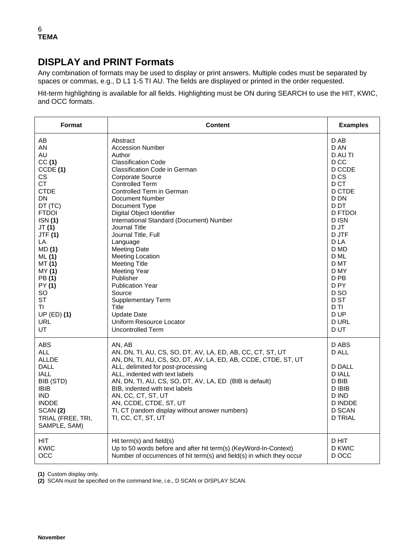### **DISPLAY and PRINT Formats**

Any combination of formats may be used to display or print answers. Multiple codes must be separated by spaces or commas, e.g., D L1 1-5 TI AU. The fields are displayed or printed in the order requested.

Hit-term highlighting is available for all fields. Highlighting must be ON during SEARCH to use the HIT, KWIC, and OCC formats.

| Format                                                                                                                                                                    | <b>Content</b>                                                                                                                                                                                                                                                                                                                                                                                                                      | <b>Examples</b>                                                                                                    |
|---------------------------------------------------------------------------------------------------------------------------------------------------------------------------|-------------------------------------------------------------------------------------------------------------------------------------------------------------------------------------------------------------------------------------------------------------------------------------------------------------------------------------------------------------------------------------------------------------------------------------|--------------------------------------------------------------------------------------------------------------------|
| AB                                                                                                                                                                        | Abstract                                                                                                                                                                                                                                                                                                                                                                                                                            | D AB                                                                                                               |
| AN                                                                                                                                                                        | <b>Accession Number</b>                                                                                                                                                                                                                                                                                                                                                                                                             | D AN                                                                                                               |
| AU                                                                                                                                                                        | Author                                                                                                                                                                                                                                                                                                                                                                                                                              | D AU TI                                                                                                            |
| CC(1)                                                                                                                                                                     | <b>Classification Code</b>                                                                                                                                                                                                                                                                                                                                                                                                          | D <sub>CC</sub>                                                                                                    |
| CCDE (1)                                                                                                                                                                  | Classification Code in German                                                                                                                                                                                                                                                                                                                                                                                                       | D CCDE                                                                                                             |
| CS.                                                                                                                                                                       | Corporate Source                                                                                                                                                                                                                                                                                                                                                                                                                    | D <sub>CS</sub>                                                                                                    |
| <b>CT</b>                                                                                                                                                                 | <b>Controlled Term</b>                                                                                                                                                                                                                                                                                                                                                                                                              | D CT                                                                                                               |
| <b>CTDE</b>                                                                                                                                                               | Controlled Term in German                                                                                                                                                                                                                                                                                                                                                                                                           | D CTDE                                                                                                             |
| <b>DN</b>                                                                                                                                                                 | Document Number                                                                                                                                                                                                                                                                                                                                                                                                                     | D DN                                                                                                               |
| DT (TC)                                                                                                                                                                   | Document Type                                                                                                                                                                                                                                                                                                                                                                                                                       | D DT                                                                                                               |
| <b>FTDOI</b>                                                                                                                                                              | Digital Object Identifier                                                                                                                                                                                                                                                                                                                                                                                                           | <b>D FTDOI</b>                                                                                                     |
| <b>ISN</b> (1)                                                                                                                                                            | International Standard (Document) Number                                                                                                                                                                                                                                                                                                                                                                                            | D ISN                                                                                                              |
| JT(1)                                                                                                                                                                     | <b>Journal Title</b>                                                                                                                                                                                                                                                                                                                                                                                                                | D JT                                                                                                               |
| <b>JTF (1)</b>                                                                                                                                                            | Journal Title, Full                                                                                                                                                                                                                                                                                                                                                                                                                 | D JTF                                                                                                              |
| LA                                                                                                                                                                        | Language                                                                                                                                                                                                                                                                                                                                                                                                                            | D LA                                                                                                               |
| MD(1)                                                                                                                                                                     | <b>Meeting Date</b>                                                                                                                                                                                                                                                                                                                                                                                                                 | D MD                                                                                                               |
| ML(1)                                                                                                                                                                     | <b>Meeting Location</b>                                                                                                                                                                                                                                                                                                                                                                                                             | D ML                                                                                                               |
| MT(1)                                                                                                                                                                     | Meeting Title                                                                                                                                                                                                                                                                                                                                                                                                                       | D MT                                                                                                               |
| MY (1)                                                                                                                                                                    | <b>Meeting Year</b>                                                                                                                                                                                                                                                                                                                                                                                                                 | D MY                                                                                                               |
| PB(1)                                                                                                                                                                     | Publisher                                                                                                                                                                                                                                                                                                                                                                                                                           | D <sub>PB</sub>                                                                                                    |
| PY (1)                                                                                                                                                                    | <b>Publication Year</b>                                                                                                                                                                                                                                                                                                                                                                                                             | D <sub>PY</sub>                                                                                                    |
| SO.                                                                                                                                                                       | Source                                                                                                                                                                                                                                                                                                                                                                                                                              | D <sub>SO</sub>                                                                                                    |
| <b>ST</b>                                                                                                                                                                 | <b>Supplementary Term</b>                                                                                                                                                                                                                                                                                                                                                                                                           | D ST                                                                                                               |
| TI.                                                                                                                                                                       | Title                                                                                                                                                                                                                                                                                                                                                                                                                               | D TI                                                                                                               |
| $UP$ (ED) (1)                                                                                                                                                             | <b>Update Date</b>                                                                                                                                                                                                                                                                                                                                                                                                                  | D UP                                                                                                               |
| <b>URL</b>                                                                                                                                                                | Uniform Resource Locator                                                                                                                                                                                                                                                                                                                                                                                                            | <b>DURL</b>                                                                                                        |
| UT.                                                                                                                                                                       | <b>Uncontrolled Term</b>                                                                                                                                                                                                                                                                                                                                                                                                            | D UT                                                                                                               |
| ABS<br><b>ALL</b><br><b>ALLDE</b><br><b>DALL</b><br><b>IALL</b><br>BIB (STD)<br><b>IBIB</b><br><b>IND</b><br><b>INDDE</b><br>SCAN(2)<br>TRIAL (FREE, TRI,<br>SAMPLE, SAM) | AN. AB<br>AN, DN, TI, AU, CS, SO, DT, AV, LA, ED, AB, CC, CT, ST, UT<br>AN, DN, TI, AU, CS, SO, DT, AV, LA, ED, AB, CCDE, CTDE, ST, UT<br>ALL, delimited for post-processing<br>ALL, indented with text labels<br>AN, DN, TI, AU, CS, SO, DT, AV, LA, ED (BIB is default)<br>BIB, indented with text labels<br>AN, CC, CT, ST, UT<br>AN, CCDE, CTDE, ST, UT<br>TI, CT (random display without answer numbers)<br>TI, CC, CT, ST, UT | D ABS<br>D ALL<br><b>D DALL</b><br><b>DIALL</b><br>D BIB<br>D IBIB<br>D IND<br>D INDDE<br>D SCAN<br><b>D TRIAL</b> |
| <b>HIT</b>                                                                                                                                                                | Hit term(s) and field(s)                                                                                                                                                                                                                                                                                                                                                                                                            | D HIT                                                                                                              |
| <b>KWIC</b>                                                                                                                                                               | Up to 50 words before and after hit term(s) (KeyWord-In-Context)                                                                                                                                                                                                                                                                                                                                                                    | <b>D KWIC</b>                                                                                                      |
| OCC                                                                                                                                                                       | Number of occurrences of hit term(s) and field(s) in which they occur                                                                                                                                                                                                                                                                                                                                                               | D OCC                                                                                                              |

**(1)** Custom display only.

**(2)** SCAN must be specified on the command line, i.e., D SCAN or DISPLAY SCAN.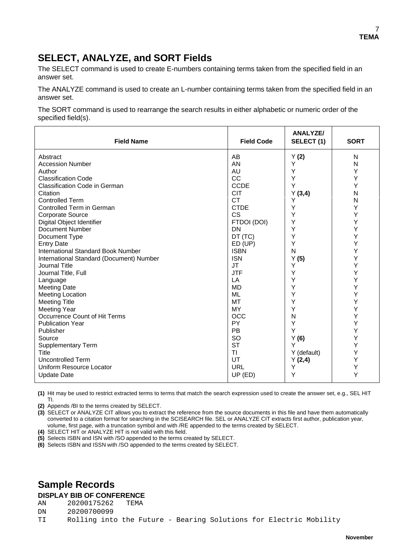## **SELECT, ANALYZE, and SORT Fields**

The SELECT command is used to create E-numbers containing terms taken from the specified field in an answer set.

The ANALYZE command is used to create an L-number containing terms taken from the specified field in an answer set.

The SORT command is used to rearrange the search results in either alphabetic or numeric order of the specified field(s).

| <b>Field Name</b>                         | <b>Field Code</b> | <b>ANALYZE/</b><br>SELECT (1) | <b>SORT</b> |
|-------------------------------------------|-------------------|-------------------------------|-------------|
| Abstract                                  | AB                | Y(2)                          | N           |
| <b>Accession Number</b>                   | AN                | Y                             | N           |
| Author                                    | AU                | Υ                             | Υ           |
| <b>Classification Code</b>                | CC                | Y                             | Υ           |
| <b>Classification Code in German</b>      | <b>CCDE</b>       | Y                             | Y           |
| Citation                                  | <b>CIT</b>        | Y(3,4)                        | N           |
| <b>Controlled Term</b>                    | <b>CT</b>         | Y                             | N           |
| Controlled Term in German                 | <b>CTDE</b>       | Y                             | Y           |
| <b>Corporate Source</b>                   | <b>CS</b>         | Υ                             | Y           |
| Digital Object Identifier                 | FTDOI (DOI)       | Υ                             | Y           |
| Document Number                           | <b>DN</b>         | Υ                             | Υ           |
| Document Type                             | DT (TC)           | Υ                             | Υ           |
| <b>Entry Date</b>                         | ED (UP)           | Y                             | Y           |
| <b>International Standard Book Number</b> | <b>ISBN</b>       | N                             | Υ           |
| International Standard (Document) Number  | <b>ISN</b>        | Y(5)                          | Y           |
| Journal Title                             | <b>JT</b>         | Υ                             | Υ           |
| Journal Title, Full                       | <b>JTF</b>        | Υ                             | Y           |
| Language                                  | LA                | Υ                             | Y           |
| <b>Meeting Date</b>                       | <b>MD</b>         | Υ                             | Υ           |
| <b>Meeting Location</b>                   | <b>ML</b>         | Υ                             | Υ           |
| <b>Meeting Title</b>                      | <b>MT</b>         | Υ                             | Υ           |
| <b>Meeting Year</b>                       | <b>MY</b>         | Υ                             | Y           |
| Occurrence Count of Hit Terms             | OCC               | N                             | Y           |
| <b>Publication Year</b>                   | PY                | Υ                             | Y           |
| Publisher                                 | PB                | Y                             | Y           |
| Source                                    | SO                | Y(6)                          | Y           |
| <b>Supplementary Term</b>                 | <b>ST</b>         | Y                             | Υ           |
| Title                                     | TI                | Y (default)                   | Y           |
| <b>Uncontrolled Term</b>                  | UT                | Y(2,4)                        | Υ           |
| Uniform Resource Locator                  | <b>URL</b>        | Y                             | Υ           |
| <b>Update Date</b>                        | UP (ED)           | Y                             | Y           |

**(1)** Hit may be used to restrict extracted terms to terms that match the search expression used to create the answer set, e.g., SEL HIT TI.

**(2)** Appends /BI to the terms created by SELECT.

**(3)** SELECT or ANALYZE CIT allows you to extract the reference from the source documents in this file and have them automatically converted to a citation format for searching in the SCISEARCH file. SEL or ANALYZE CIT extracts first author, publication year, volume, first page, with a truncation symbol and with /RE appended to the terms created by SELECT.

**(4)** SELECT HIT or ANALYZE HIT is not valid with this field.

**(5)** Selects ISBN and ISN with /SO appended to the terms created by SELECT.

**(6)** Selects ISBN and ISSN with /SO appended to the terms created by SELECT.

### **Sample Records**

# **DISPLAY BIB OF CONFERENCE**

AN 20200175262

DN 20200700099<br>TI Rolling inte Rolling into the Future - Bearing Solutions for Electric Mobility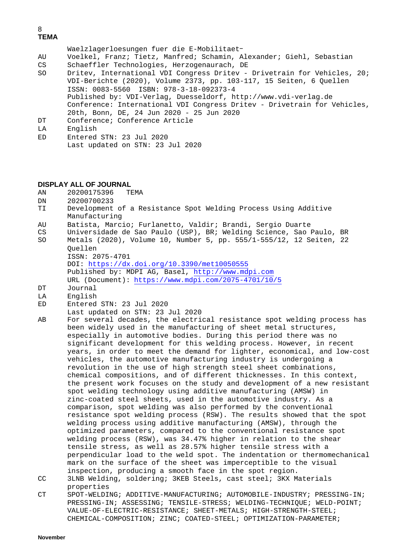### 8 **TEMA**

Waelzlagerloesungen fuer die E-Mobilitaet-

- AU Voelkel, Franz; Tietz, Manfred; Schamin, Alexander; Giehl, Sebastian
- 

CS Schaeffler Technologies, Herzogenaurach, DE<br>SO Dritev, International VDI Congress Dritev -Dritev, International VDI Congress Dritev - Drivetrain for Vehicles, 20; VDI-Berichte (2020), Volume 2373, pp. 103-117, 15 Seiten, 6 Quellen ISSN: 0083-5560 ISBN: 978-3-18-092373-4 Published by: VDI-Verlag, Duesseldorf, [http://www.vdi-verlag.de](http://www.vdi-verlag.de/) Conference: International VDI Congress Dritev - Drivetrain for Vehicles, 20th, Bonn, DE, 24 Jun 2020 - 25 Jun 2020 DT Conference; Conference Article

LA English

ED Entered STN: 23 Jul 2020 Last updated on STN: 23 Jul 2020

#### **DISPLAY ALL OF JOURNAL**

- AN 20200175396 TEMA<br>DN 20200700233
- DN 20200700233<br>TI Development Development of a Resistance Spot Welding Process Using Additive Manufacturing
- AU Batista, Marcio; Furlanetto, Valdir; Brandi, Sergio Duarte
- CS Universidade de Sao Paulo (USP), BR; Welding Science, Sao Paulo, BR Metals (2020), Volume 10, Number 5, pp. 555/1-555/12, 12 Seiten, 22
	- Quellen

ISSN: 2075-4701

DOI:<https://dx.doi.org/10.3390/met10050555> Published by: MDPI AG, Basel, [http://www.mdpi.com](http://www.mdpi.com/)

- URL (Document): <https://www.mdpi.com/2075-4701/10/5>
- DT Journal<br>LA English
- LA English<br>ED Entered
- Entered STN: 23 Jul 2020
- Last updated on STN: 23 Jul 2020
- AB For several decades, the electrical resistance spot welding process has been widely used in the manufacturing of sheet metal structures, especially in automotive bodies. During this period there was no significant development for this welding process. However, in recent years, in order to meet the demand for lighter, economical, and low-cost vehicles, the automotive manufacturing industry is undergoing a revolution in the use of high strength steel sheet combinations, chemical compositions, and of different thicknesses. In this context, the present work focuses on the study and development of a new resistant spot welding technology using additive manufacturing (AMSW) in zinc-coated steel sheets, used in the automotive industry. As a comparison, spot welding was also performed by the conventional resistance spot welding process (RSW). The results showed that the spot welding process using additive manufacturing (AMSW), through the optimized parameters, compared to the conventional resistance spot welding process (RSW), was 34.47% higher in relation to the shear tensile stress, as well as 28.57% higher tensile stress with a perpendicular load to the weld spot. The indentation or thermomechanical mark on the surface of the sheet was imperceptible to the visual inspection, producing a smooth face in the spot region. CC 3LNB Welding, soldering; 3KEB Steels, cast steel; 3KX Materials properties
- CT SPOT-WELDING; ADDITIVE-MANUFACTURING; AUTOMOBILE-INDUSTRY; PRESSING-IN; PRESSING-IN; ASSESSING; TENSILE-STRESS; WELDING-TECHNIQUE; WELD-POINT; VALUE-OF-ELECTRIC-RESISTANCE; SHEET-METALS; HIGH-STRENGTH-STEEL; CHEMICAL-COMPOSITION; ZINC; COATED-STEEL; OPTIMIZATION-PARAMETER;